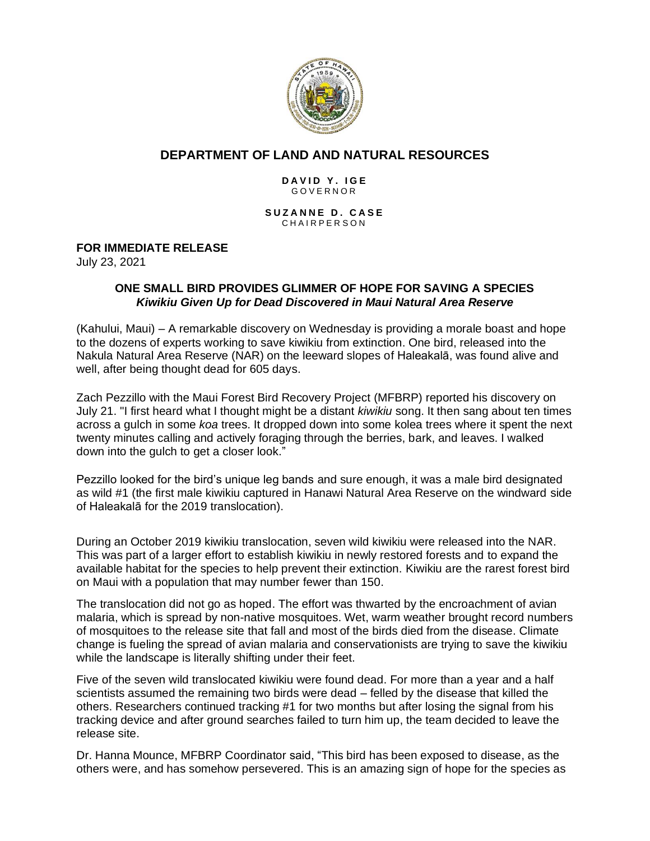

# **DEPARTMENT OF LAND AND NATURAL RESOURCES**

#### **DAVID Y. IGE** G O V E R N O R

**SUZANNE D. CASE** CHAIRPERSON

### **FOR IMMEDIATE RELEASE**

July 23, 2021

### **ONE SMALL BIRD PROVIDES GLIMMER OF HOPE FOR SAVING A SPECIES** *Kiwikiu Given Up for Dead Discovered in Maui Natural Area Reserve*

(Kahului, Maui) – A remarkable discovery on Wednesday is providing a morale boast and hope to the dozens of experts working to save kiwikiu from extinction. One bird, released into the Nakula Natural Area Reserve (NAR) on the leeward slopes of Haleakalā, was found alive and well, after being thought dead for 605 days.

Zach Pezzillo with the Maui Forest Bird Recovery Project (MFBRP) reported his discovery on July 21. "I first heard what I thought might be a distant *kiwikiu* song. It then sang about ten times across a gulch in some *koa* trees. It dropped down into some kolea trees where it spent the next twenty minutes calling and actively foraging through the berries, bark, and leaves. I walked down into the gulch to get a closer look."

Pezzillo looked for the bird's unique leg bands and sure enough, it was a male bird designated as wild #1 (the first male kiwikiu captured in Hanawi Natural Area Reserve on the windward side of Haleakalā for the 2019 translocation).

During an October 2019 kiwikiu translocation, seven wild kiwikiu were released into the NAR. This was part of a larger effort to establish kiwikiu in newly restored forests and to expand the available habitat for the species to help prevent their extinction. Kiwikiu are the rarest forest bird on Maui with a population that may number fewer than 150.

The translocation did not go as hoped. The effort was thwarted by the encroachment of avian malaria, which is spread by non-native mosquitoes. Wet, warm weather brought record numbers of mosquitoes to the release site that fall and most of the birds died from the disease. Climate change is fueling the spread of avian malaria and conservationists are trying to save the kiwikiu while the landscape is literally shifting under their feet.

Five of the seven wild translocated kiwikiu were found dead. For more than a year and a half scientists assumed the remaining two birds were dead – felled by the disease that killed the others. Researchers continued tracking #1 for two months but after losing the signal from his tracking device and after ground searches failed to turn him up, the team decided to leave the release site.

Dr. Hanna Mounce, MFBRP Coordinator said, "This bird has been exposed to disease, as the others were, and has somehow persevered. This is an amazing sign of hope for the species as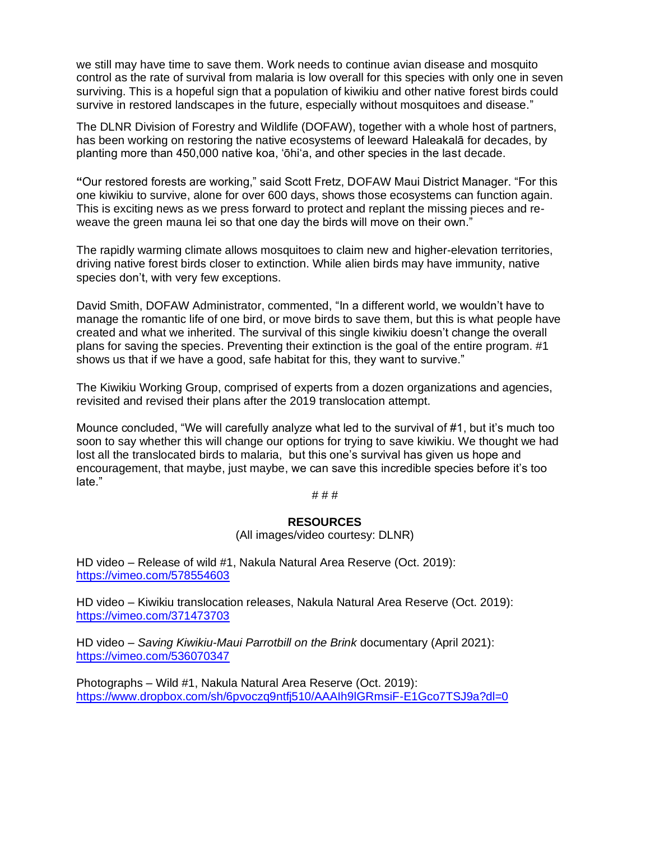we still may have time to save them. Work needs to continue avian disease and mosquito control as the rate of survival from malaria is low overall for this species with only one in seven surviving. This is a hopeful sign that a population of kiwikiu and other native forest birds could survive in restored landscapes in the future, especially without mosquitoes and disease."

The DLNR Division of Forestry and Wildlife (DOFAW), together with a whole host of partners, has been working on restoring the native ecosystems of leeward Haleakalā for decades, by planting more than 450,000 native koa, 'ōhi'a, and other species in the last decade.

**"**Our restored forests are working," said Scott Fretz, DOFAW Maui District Manager. "For this one kiwikiu to survive, alone for over 600 days, shows those ecosystems can function again. This is exciting news as we press forward to protect and replant the missing pieces and reweave the green mauna lei so that one day the birds will move on their own."

The rapidly warming climate allows mosquitoes to claim new and higher-elevation territories, driving native forest birds closer to extinction. While alien birds may have immunity, native species don't, with very few exceptions.

David Smith, DOFAW Administrator, commented, "In a different world, we wouldn't have to manage the romantic life of one bird, or move birds to save them, but this is what people have created and what we inherited. The survival of this single kiwikiu doesn't change the overall plans for saving the species. Preventing their extinction is the goal of the entire program. #1 shows us that if we have a good, safe habitat for this, they want to survive."

The Kiwikiu Working Group, comprised of experts from a dozen organizations and agencies, revisited and revised their plans after the 2019 translocation attempt.

Mounce concluded, "We will carefully analyze what led to the survival of #1, but it's much too soon to say whether this will change our options for trying to save kiwikiu. We thought we had lost all the translocated birds to malaria, but this one's survival has given us hope and encouragement, that maybe, just maybe, we can save this incredible species before it's too late."

#### # # #

### **RESOURCES**

(All images/video courtesy: DLNR)

HD video – Release of wild #1, Nakula Natural Area Reserve (Oct. 2019): <https://vimeo.com/578554603>

HD video – Kiwikiu translocation releases, Nakula Natural Area Reserve (Oct. 2019): <https://vimeo.com/371473703>

HD video – *Saving Kiwikiu-Maui Parrotbill on the Brink* documentary (April 2021): <https://vimeo.com/536070347>

Photographs – Wild #1, Nakula Natural Area Reserve (Oct. 2019): <https://www.dropbox.com/sh/6pvoczq9ntfj510/AAAIh9lGRmsiF-E1Gco7TSJ9a?dl=0>